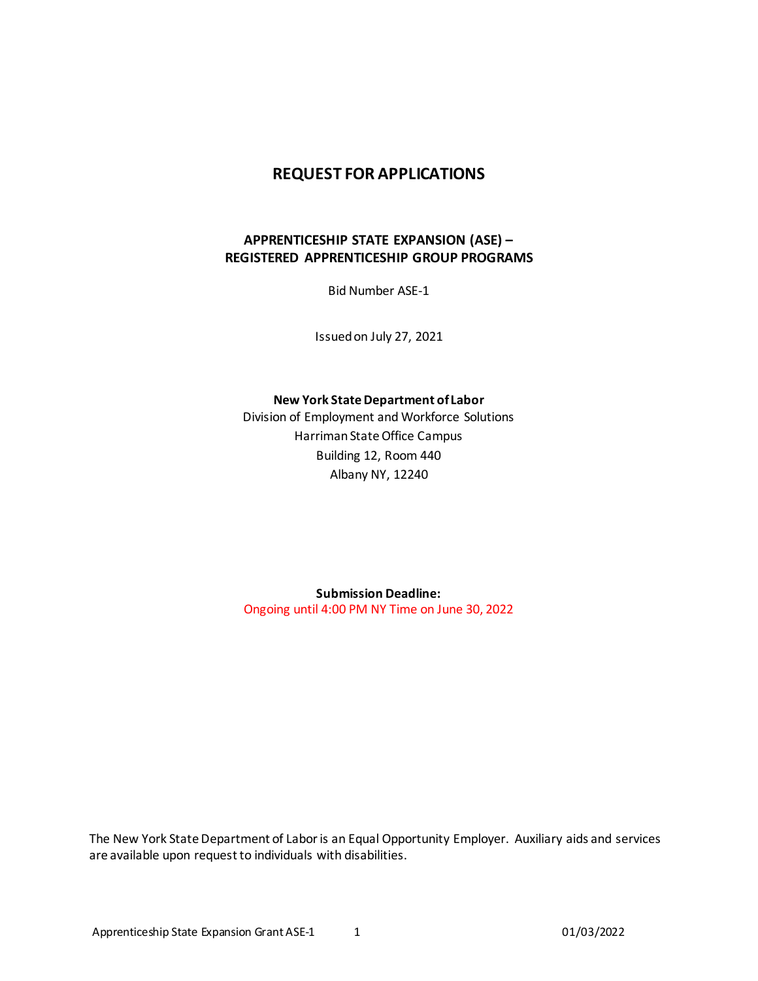#### **REQUEST FOR APPLICATIONS**

#### **APPRENTICESHIP STATE EXPANSION (ASE) – REGISTERED APPRENTICESHIP GROUP PROGRAMS**

Bid Number ASE-1

Issued on July 27, 2021

**New York State Department of Labor**

Division of Employment and Workforce Solutions Harriman State Office Campus Building 12, Room 440 Albany NY, 12240

**Submission Deadline:** Ongoing until 4:00 PM NY Time on June 30, 2022

The New York State Department of Labor is an Equal Opportunity Employer. Auxiliary aids and services are available upon request to individuals with disabilities.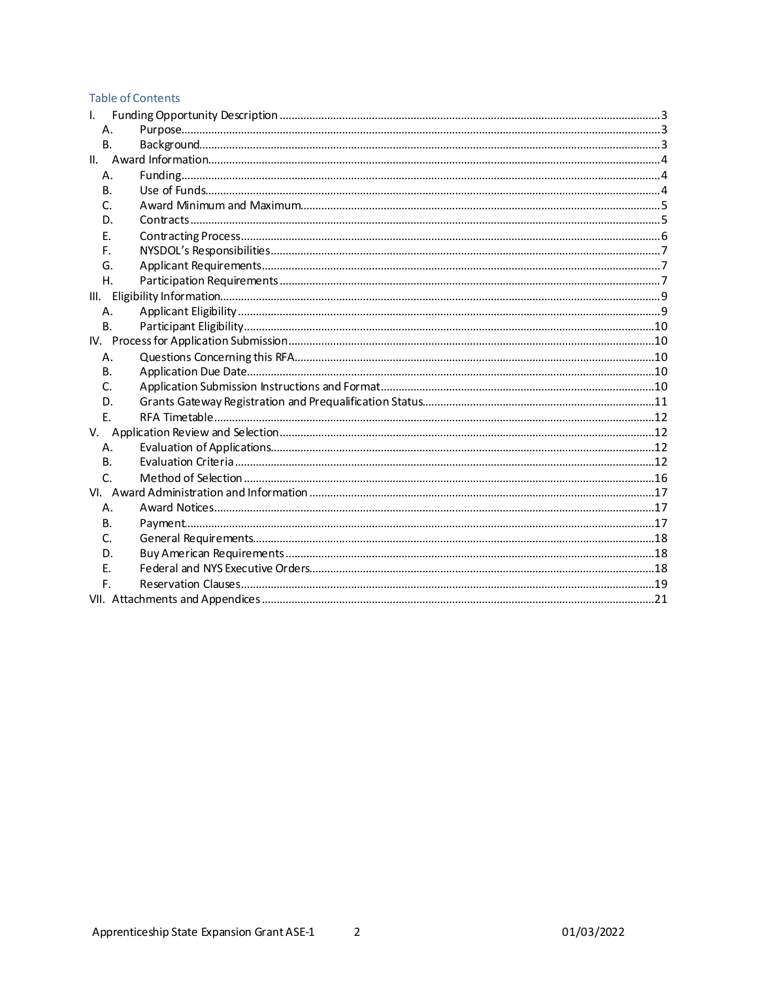#### **Table of Contents**

| Τ.  |           |  |  |  |  |  |  |
|-----|-----------|--|--|--|--|--|--|
|     | А.        |  |  |  |  |  |  |
|     | <b>B.</b> |  |  |  |  |  |  |
| II. |           |  |  |  |  |  |  |
|     | Α.        |  |  |  |  |  |  |
|     | В.        |  |  |  |  |  |  |
|     | C.        |  |  |  |  |  |  |
|     | D.        |  |  |  |  |  |  |
|     | Е.        |  |  |  |  |  |  |
|     | F.        |  |  |  |  |  |  |
|     | G.        |  |  |  |  |  |  |
|     | Η.        |  |  |  |  |  |  |
|     |           |  |  |  |  |  |  |
|     | Α.        |  |  |  |  |  |  |
|     | <b>B.</b> |  |  |  |  |  |  |
| IV. |           |  |  |  |  |  |  |
|     | Α.        |  |  |  |  |  |  |
|     | В.        |  |  |  |  |  |  |
|     | C.        |  |  |  |  |  |  |
|     | D.        |  |  |  |  |  |  |
|     | Ε.        |  |  |  |  |  |  |
| V.  |           |  |  |  |  |  |  |
|     | Α.        |  |  |  |  |  |  |
|     | В.        |  |  |  |  |  |  |
|     | C.        |  |  |  |  |  |  |
|     |           |  |  |  |  |  |  |
|     | Α.        |  |  |  |  |  |  |
|     | В.        |  |  |  |  |  |  |
|     | C.        |  |  |  |  |  |  |
|     | D.        |  |  |  |  |  |  |
|     | Е.        |  |  |  |  |  |  |
|     | F.        |  |  |  |  |  |  |
|     |           |  |  |  |  |  |  |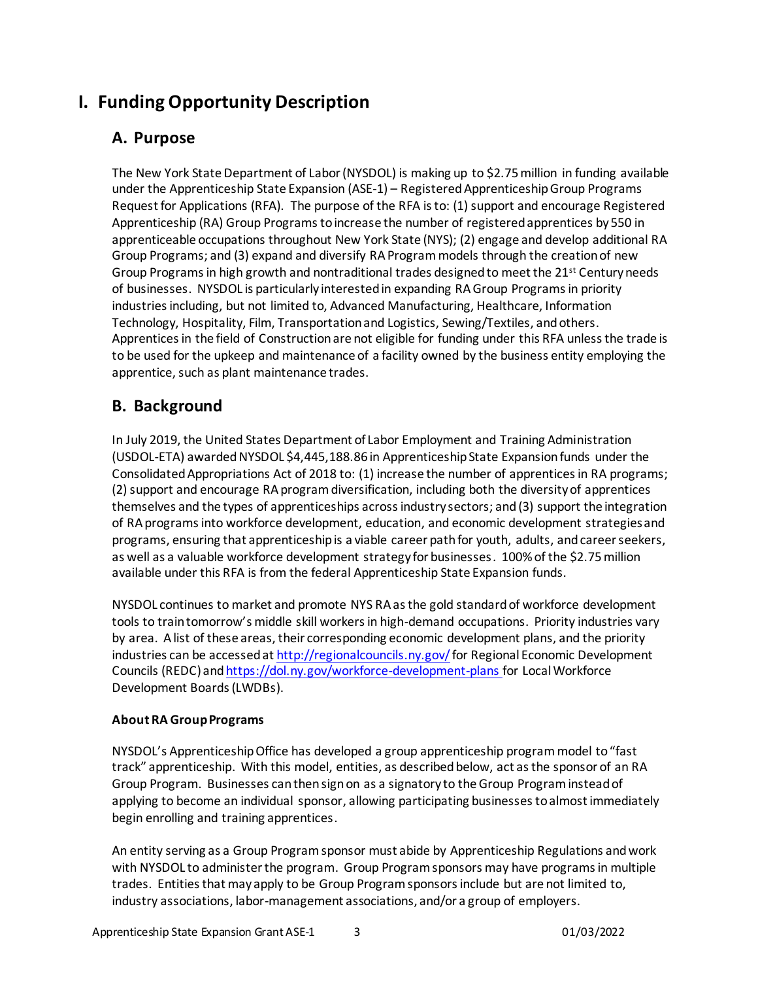# <span id="page-2-1"></span><span id="page-2-0"></span>**I. Funding Opportunity Description**

# **A. Purpose**

<span id="page-2-3"></span>The New York State Department of Labor (NYSDOL) is making up to \$2.75million in funding available under the Apprenticeship State Expansion (ASE-1) – Registered ApprenticeshipGroup Programs Request for Applications (RFA). The purpose of the RFA is to: (1) support and encourage Registered Apprenticeship (RA) Group Programs to increase the number of registered apprentices by 550 in apprenticeable occupations throughout New York State (NYS); (2) engage and develop additional RA Group Programs; and (3) expand and diversify RA Program models through the creation of new Group Programs in high growth and nontraditional trades designed to meet the  $21^{st}$  Century needs of businesses. NYSDOL is particularly interested in expanding RA Group Programs in priority industries including, but not limited to, Advanced Manufacturing, Healthcare, Information Technology, Hospitality, Film, Transportation and Logistics, Sewing/Textiles, and others. Apprentices in the field of Construction are not eligible for funding under this RFA unless the trade is to be used for the upkeep and maintenance of a facility owned by the business entity employing the apprentice, such as plant maintenance trades.

# <span id="page-2-2"></span>**B. Background**

In July 2019, the United States Department of Labor Employment and Training Administration (USDOL-ETA) awarded NYSDOL \$4,445,188.86 in Apprenticeship State Expansion funds under the Consolidated Appropriations Act of 2018 to: (1) increase the number of apprentices in RA programs; (2) support and encourage RA program diversification, including both the diversity of apprentices themselves and the types of apprenticeships across industry sectors; and (3) support the integration of RA programs into workforce development, education, and economic development strategies and programs, ensuring that apprenticeship is a viable career path for youth, adults, and career seekers, as well as a valuable workforce development strategy for businesses. 100% of the \$2.75 million available under this RFA is from the federal Apprenticeship State Expansion funds.

<span id="page-2-4"></span>NYSDOL continues to market and promote NYS RA as the gold standard of workforce development tools to train tomorrow's middle skill workers in high-demand occupations. Priority industries vary by area. A list of these areas, their corresponding economic development plans, and the priority industries can be accessed a[t http://regionalcouncils.ny.gov/](http://regionalcouncils.ny.gov/)for Regional Economic Development Councils (REDC) an[d https://dol.ny.gov/workforce-development-plans](https://dol.ny.gov/workforce-development-plans) for Local Workforce Development Boards (LWDBs).

#### **About RA Group Programs**

NYSDOL's Apprenticeship Office has developed a group apprenticeship programmodel to "fast track" apprenticeship. With this model, entities, as described below, act as the sponsor of an RA Group Program. Businesses canthensign on as a signatory to theGroup Program instead of applying to become an individual sponsor, allowing participating businesses to almost immediately begin enrolling and training apprentices.

An entity serving as a Group Program sponsor must abide by Apprenticeship Regulations and work with NYSDOL to administer the program. Group Program sponsors may have programs in multiple trades. Entities that may apply to be Group Programsponsorsinclude but are not limited to, industry associations, labor-management associations, and/or a group of employers.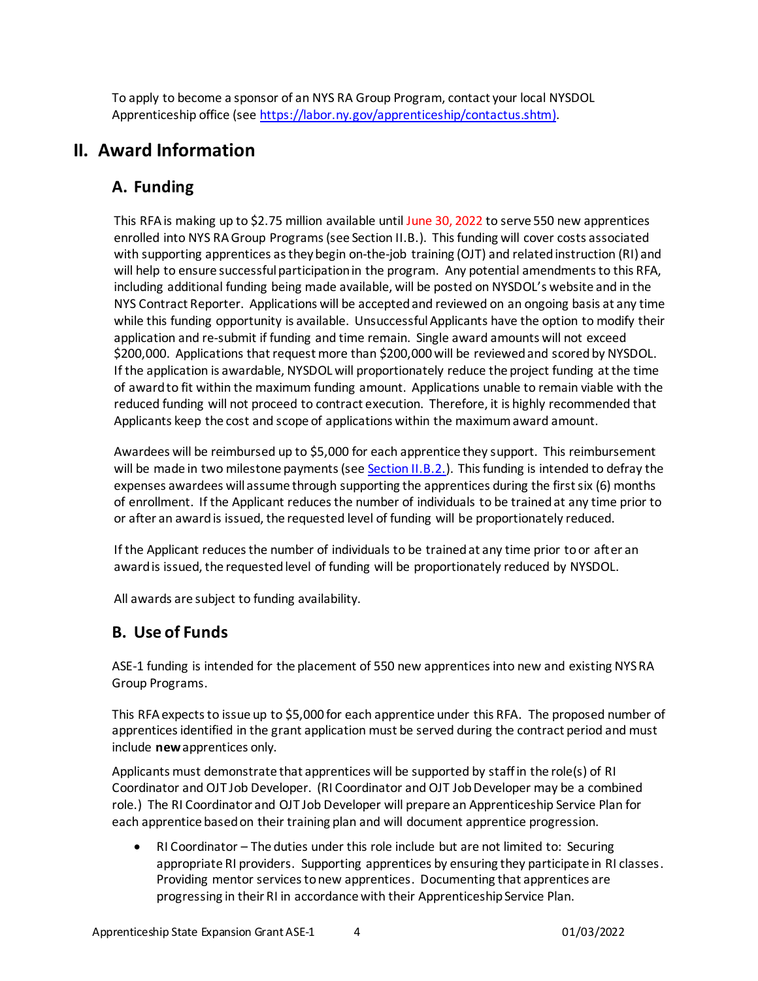To apply to become a sponsor of an NYS RA Group Program, contact your local NYSDOL Apprenticeship office (se[e https://labor.ny.gov/apprenticeship/contactus.shtm](https://labor.ny.gov/apprenticeship/contactus.shtm)).

# <span id="page-3-1"></span><span id="page-3-0"></span>**II. Award Information**

## **A. Funding**

This RFA is making up to \$2.75 million available until June 30, 2022 to serve 550 new apprentices enrolled into NYS RAGroup Programs(se[e Section II.B.](#page-3-2)). This funding will cover costs associated with supporting apprentices as they begin on-the-job training (OJT) and related instruction (RI) and will help to ensure successful participation in the program. Any potential amendments to this RFA, including additional funding being made available, will be posted on NYSDOL's website and in the NYS Contract Reporter. Applications will be accepted and reviewed on an ongoing basis at any time while this funding opportunity is available. Unsuccessful Applicants have the option to modify their application and re-submit if funding and time remain. Single award amounts will not exceed \$200,000. Applications that request more than \$200,000will be reviewed and scored by NYSDOL. If the application is awardable, NYSDOL will proportionately reduce the project funding at the time of award to fit within the maximum funding amount. Applications unable to remain viable with the reduced funding will not proceed to contract execution. Therefore, it is highly recommended that Applicants keep the cost and scope of applications within the maximum award amount.

Awardees will be reimbursed up to \$5,000 for each apprentice they support. This reimbursement will be made in two milestone payments (se[e Section II.B.2.](#page-4-2)). This funding is intended to defray the expenses awardees will assume through supporting the apprentices during the first six (6) months of enrollment. If the Applicant reduces the number of individuals to be trained at any time prior to or after an award is issued, the requested level of funding will be proportionately reduced.

If the Applicant reduces the number of individuals to be trained at any time prior to or after an award is issued, the requested level of funding will be proportionately reduced by NYSDOL.

All awards are subject to funding availability.

# <span id="page-3-2"></span>**B. Use of Funds**

ASE-1 funding is intended for the placement of 550 new apprentices into new and existing NYSRA Group Programs.

This RFAexpects to issue up to \$5,000 for each apprentice under this RFA. The proposed number of apprentices identified in the grant application must be served during the contract period and must include **new** apprentices only.

Applicants must demonstrate that apprentices will be supported by staff in the role(s) of RI Coordinator and OJT Job Developer. (RI Coordinator and OJT Job Developer may be a combined role.) The RI Coordinator and OJT Job Developer will prepare an Apprenticeship Service Plan for each apprentice based on their training plan and will document apprentice progression.

<span id="page-3-3"></span>• RI Coordinator – The duties under this role include but are not limited to: Securing appropriate RI providers. Supporting apprentices by ensuring they participate in RI classes. Providing mentor services to new apprentices. Documenting that apprentices are progressing in their RI in accordance with their Apprenticeship Service Plan.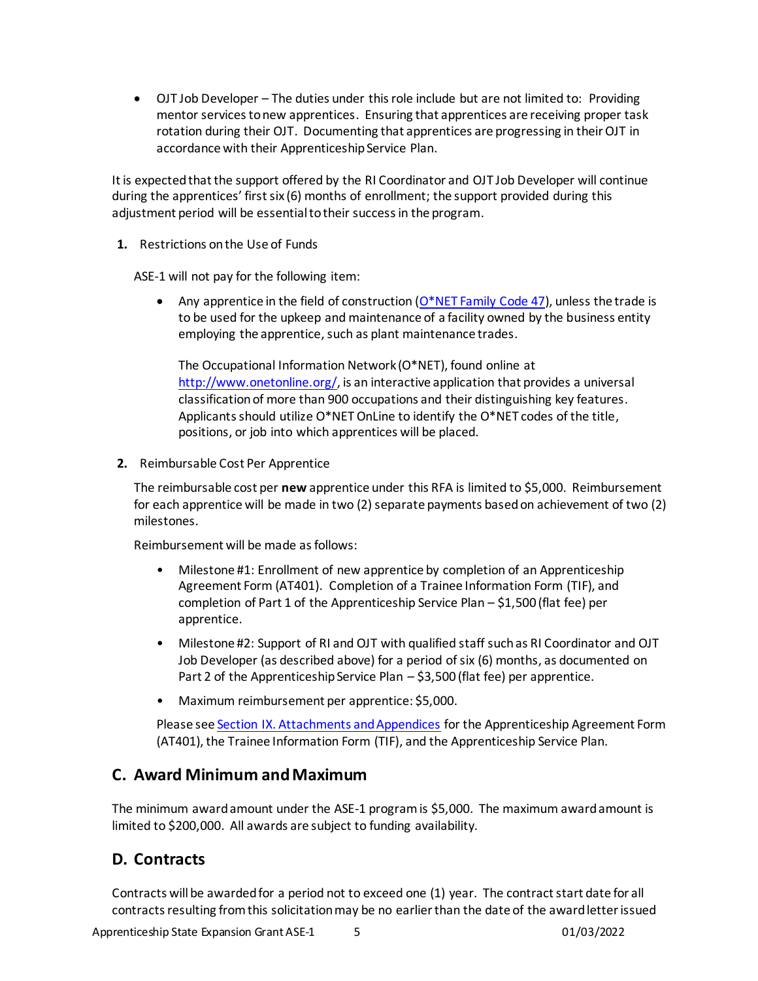• OJT Job Developer – The duties under this role include but are not limited to: Providing mentor services to new apprentices. Ensuring that apprentices are receiving proper task rotation during their OJT. Documenting that apprentices are progressing in their OJT in accordance with their Apprenticeship Service Plan.

It is expected that the support offered by the RI Coordinator and OJT Job Developer will continue during the apprentices' first six (6) months of enrollment; the support provided during this adjustment period will be essential to their success in the program.

<span id="page-4-3"></span>**1.** Restrictions on the Use of Funds

ASE-1 will not pay for the following item:

• Any apprentice in the field of construction  $(O^*NET Family Code 47)$ , unless the trade is to be used for the upkeep and maintenance of a facility owned by the business entity employing the apprentice, such as plant maintenance trades.

The Occupational Information Network (O\*NET), found online at [http://www.onetonline.org/,](http://www.onetonline.org/) is an interactive application that provides a universal classification of more than 900 occupations and their distinguishing key features. Applicants should utilize O\*NET OnLine to identify the O\*NET codes of the title, positions, or job into which apprentices will be placed.

**2.** Reimbursable Cost Per Apprentice

The reimbursable cost per **new** apprentice under this RFA is limited to \$5,000. Reimbursement for each apprentice will be made in two (2) separate payments based on achievement of two (2) milestones.

<span id="page-4-2"></span>Reimbursement will be made as follows:

- Milestone #1: Enrollment of new apprentice by completion of an Apprenticeship Agreement Form (AT401). Completion of a Trainee Information Form (TIF), and completion of Part 1 of the Apprenticeship Service Plan – \$1,500 (flat fee) per apprentice.
- Milestone #2: Support of RI and OJT with qualified staff such as RI Coordinator and OJT Job Developer (as described above) for a period of six (6) months, as documented on Part 2 of the Apprenticeship Service Plan – \$3,500 (flat fee) per apprentice.
- Maximum reimbursement per apprentice: \$5,000.

Please se[e Section IX. Attachments and Appendices](#page-20-1) for the Apprenticeship Agreement Form (AT401), the Trainee Information Form (TIF), and the Apprenticeship Service Plan.

### <span id="page-4-0"></span>**C. Award Minimum and Maximum**

The minimum award amount under the ASE-1 programis \$5,000. The maximum award amount is limited to \$200,000. All awards are subject to funding availability.

### <span id="page-4-1"></span>**D. Contracts**

Contracts will be awarded for a period not to exceed one (1) year. The contract start date for all contracts resulting from this solicitation may be no earlier than the date of the award letter issued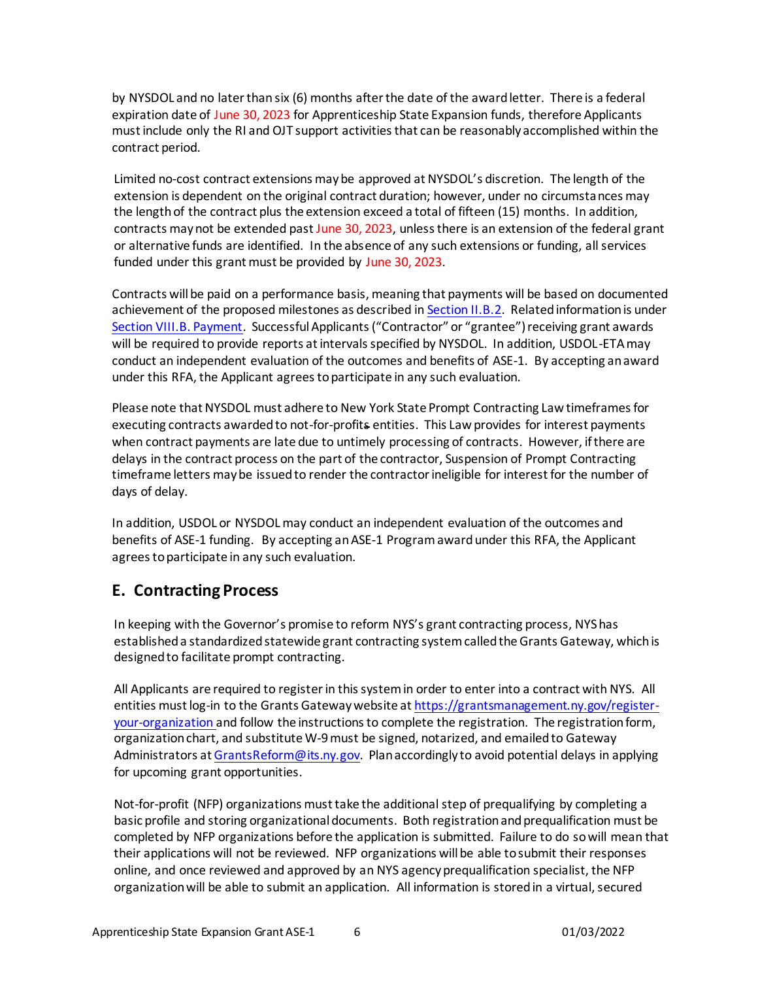by NYSDOL and no later than six (6) months after the date of the award letter. There is a federal expiration date of June 30, 2023 for Apprenticeship State Expansion funds, therefore Applicants must include only the RI and OJT support activities that can be reasonably accomplished within the contract period.

Limited no-cost contract extensions may be approved at NYSDOL's discretion. The length of the extension is dependent on the original contract duration; however, under no circumstances may the length of the contract plus the extension exceed a total of fifteen (15) months. In addition, contracts may not be extended past June 30, 2023, unless there is an extension of the federal grant or alternative funds are identified. In the absence of any such extensions or funding, all services funded under this grant must be provided by June 30, 2023.

Contracts will be paid on a performance basis, meaning that payments will be based on documented achievement of the proposed milestones as described i[n Section II.B.2](#page-4-2). Related information is under [Section VIII.B. Payment](#page-16-2). Successful Applicants ("Contractor" or "grantee") receiving grant awards will be required to provide reports at intervals specified by NYSDOL. In addition, USDOL-ETA may conduct an independent evaluation of the outcomes and benefits of ASE-1. By accepting an award under this RFA, the Applicant agrees to participate in any such evaluation.

Please note that NYSDOL must adhere to New York State Prompt Contracting Law timeframes for executing contracts awarded to not-for-profits entities. This Law provides for interest payments when contract payments are late due to untimely processing of contracts. However, if there are delays in the contract process on the part of the contractor, Suspension of Prompt Contracting timeframe letters may be issued to render the contractor ineligible for interest for the number of days of delay.

In addition, USDOL or NYSDOL may conduct an independent evaluation of the outcomes and benefits of ASE-1 funding. By accepting anASE-1 Program award under this RFA, the Applicant agrees to participate in any such evaluation.

### <span id="page-5-0"></span>**E. Contracting Process**

<span id="page-5-1"></span>In keeping with the Governor's promise to reform NYS's grant contracting process, NYShas established a standardized statewide grant contracting system called the Grants Gateway, which is designed to facilitate prompt contracting.

All Applicants are required to register in this system in order to enter into a contract with NYS. All entities must log-in to the Grants Gateway website a[t https://grantsmanagement.ny.gov/register](https://grantsmanagement.ny.gov/register-your-organization)[your-organization](https://grantsmanagement.ny.gov/register-your-organization) and follow the instructions to complete the registration. The registration form, organization chart, and substitute W-9must be signed, notarized, and emailed to Gateway Administrators a[t GrantsReform@its.ny.gov](mailto:GrantsReform@its.ny.gov). Plan accordingly to avoid potential delays in applying for upcoming grant opportunities.

Not-for-profit (NFP) organizations must take the additional step of prequalifying by completing a basic profile and storing organizational documents. Both registration and prequalification must be completed by NFP organizations before the application is submitted. Failure to do so will mean that their applications will not be reviewed. NFP organizations will be able to submit their responses online, and once reviewed and approved by an NYS agency prequalification specialist, the NFP organization will be able to submit an application. All information is stored in a virtual, secured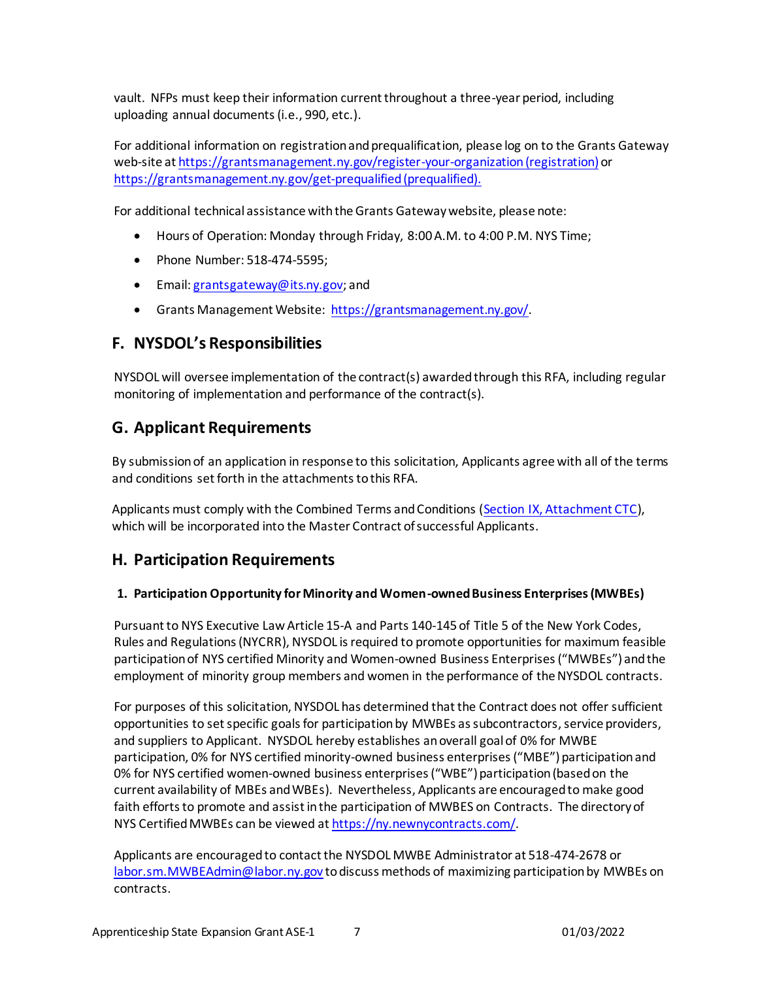vault. NFPs must keep their information current throughout a three-year period, including uploading annual documents (i.e., 990, etc.).

For additional information on registration and prequalification, please log on to the Grants Gateway web-site a[t https://grantsmanagement.ny.gov/register-your-organization](https://grantsmanagement.ny.gov/register-your-organization)(registration) or <https://grantsmanagement.ny.gov/get-prequalified>(prequalified).

For additional technical assistance with the Grants Gateway website, please note:

- Hours of Operation: Monday through Friday, 8:00 A.M. to 4:00 P.M. NYS Time;
- Phone Number: 518-474-5595;
- Email[: grantsgateway@its.ny.gov](mailto:grantsgateway@its.ny.gov); and
- Grants Management Website: [https://grantsmanagement.ny.gov/.](https://grantsmanagement.ny.gov/)

### <span id="page-6-0"></span>**F. NYSDOL's Responsibilities**

NYSDOL will oversee implementation of the contract(s) awarded through this RFA, including regular monitoring of implementation and performance of the contract(s).

### <span id="page-6-1"></span>**G. Applicant Requirements**

By submission of an application in response to this solicitation, Applicants agree with all of the terms and conditions set forth in the attachments to this RFA.

Applicants must comply with the Combined Terms and Conditions (Section IX, [Attachment CTC](#page-20-2)), which will be incorporated into the Master Contract of successful Applicants.

### <span id="page-6-2"></span>**H. Participation Requirements**

#### **1. Participation Opportunity for Minority and Women-owned Business Enterprises (MWBEs)**

Pursuant to NYS Executive Law Article 15-A and Parts 140-145 of Title 5 of the New York Codes, Rules and Regulations (NYCRR), NYSDOL is required to promote opportunities for maximum feasible participation of NYS certified Minority and Women-owned Business Enterprises ("MWBEs") and the employment of minority group members and women in the performance of the NYSDOL contracts.

For purposes of this solicitation, NYSDOL has determined that the Contract does not offer sufficient opportunities to set specific goals for participation by MWBEs as subcontractors, service providers, and suppliers to Applicant. NYSDOL hereby establishes an overall goal of 0% for MWBE participation, 0% for NYS certified minority-owned business enterprises ("MBE") participation and 0% for NYS certified women-owned business enterprises ("WBE") participation (based on the current availability of MBEs and WBEs). Nevertheless, Applicants are encouraged to make good faith efforts to promote and assist in the participation of MWBES on Contracts. The directory of NYS Certified MWBEs can be viewed a[t https://ny.newnycontracts.com/.](https://ny.newnycontracts.com/)

Applicants are encouraged to contact the NYSDOL MWBE Administrator at 518-474-2678 or [labor.sm.MWBEAdmin@labor.ny.gov](mailto:labor.sm.MWBEAdmin@labor.ny.gov) to discuss methods of maximizing participation by MWBEs on contracts.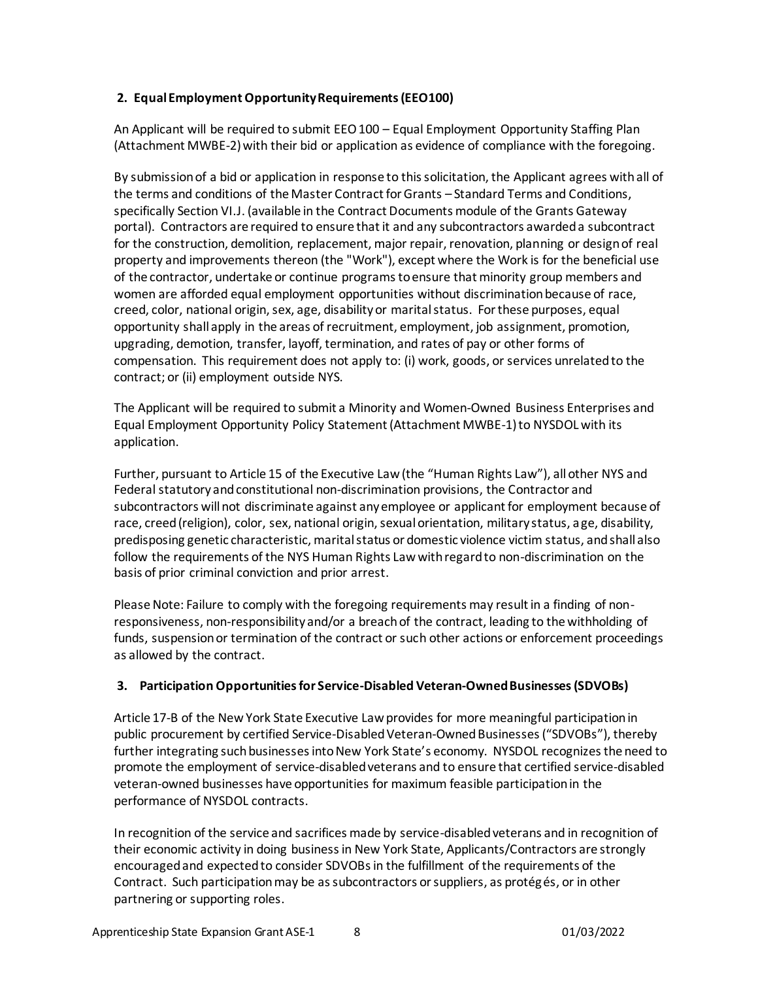#### **2. Equal Employment Opportunity Requirements (EEO100)**

An Applicant will be required to submit EEO 100 – Equal Employment Opportunity Staffing Plan (Attachment MWBE-2) with their bid or application as evidence of compliance with the foregoing.

By submission of a bid or application in response to this solicitation, the Applicant agrees with all of the terms and conditions of the Master Contract for Grants – Standard Terms and Conditions, specifically Section VI.J. (available in the Contract Documents module of the Grants Gateway portal). Contractors are required to ensure that it and any subcontractors awarded a subcontract for the construction, demolition, replacement, major repair, renovation, planning or design of real property and improvements thereon (the "Work"), except where the Work is for the beneficial use of the contractor, undertake or continue programs to ensure that minority group members and women are afforded equal employment opportunities without discrimination because of race, creed, color, national origin, sex, age, disability or marital status. For these purposes, equal opportunity shall apply in the areas of recruitment, employment, job assignment, promotion, upgrading, demotion, transfer, layoff, termination, and rates of pay or other forms of compensation. This requirement does not apply to: (i) work, goods, or services unrelated to the contract; or (ii) employment outside NYS.

The Applicant will be required to submit a Minority and Women-Owned Business Enterprises and Equal Employment Opportunity Policy Statement (Attachment MWBE-1) to NYSDOL with its application.

Further, pursuant to Article 15 of the Executive Law (the "Human Rights Law"), all other NYS and Federal statutory and constitutional non-discrimination provisions, the Contractor and subcontractors will not discriminate against any employee or applicant for employment because of race, creed (religion), color, sex, national origin, sexual orientation, military status, age, disability, predisposing genetic characteristic, marital status or domestic violence victim status, and shall also follow the requirements of the NYS Human Rights Law with regard to non-discrimination on the basis of prior criminal conviction and prior arrest.

Please Note: Failure to comply with the foregoing requirements may result in a finding of nonresponsiveness, non-responsibility and/or a breach of the contract, leading to the withholding of funds, suspension or termination of the contract or such other actions or enforcement proceedings as allowed by the contract.

#### **3. Participation Opportunities for Service-Disabled Veteran-Owned Businesses (SDVOBs)**

Article 17-B of the New York State Executive Law provides for more meaningful participation in public procurement by certified Service-Disabled Veteran-Owned Businesses ("SDVOBs"), thereby further integrating such businesses into New York State's economy. NYSDOL recognizes the need to promote the employment of service-disabled veterans and to ensure that certified service-disabled veteran-owned businesses have opportunities for maximum feasible participation in the performance of NYSDOL contracts.

In recognition of the service and sacrifices made by service-disabled veterans and in recognition of their economic activity in doing business in New York State, Applicants/Contractors are strongly encouraged and expected to consider SDVOBs in the fulfillment of the requirements of the Contract. Such participation may be as subcontractors or suppliers, as protégés, or in other partnering or supporting roles.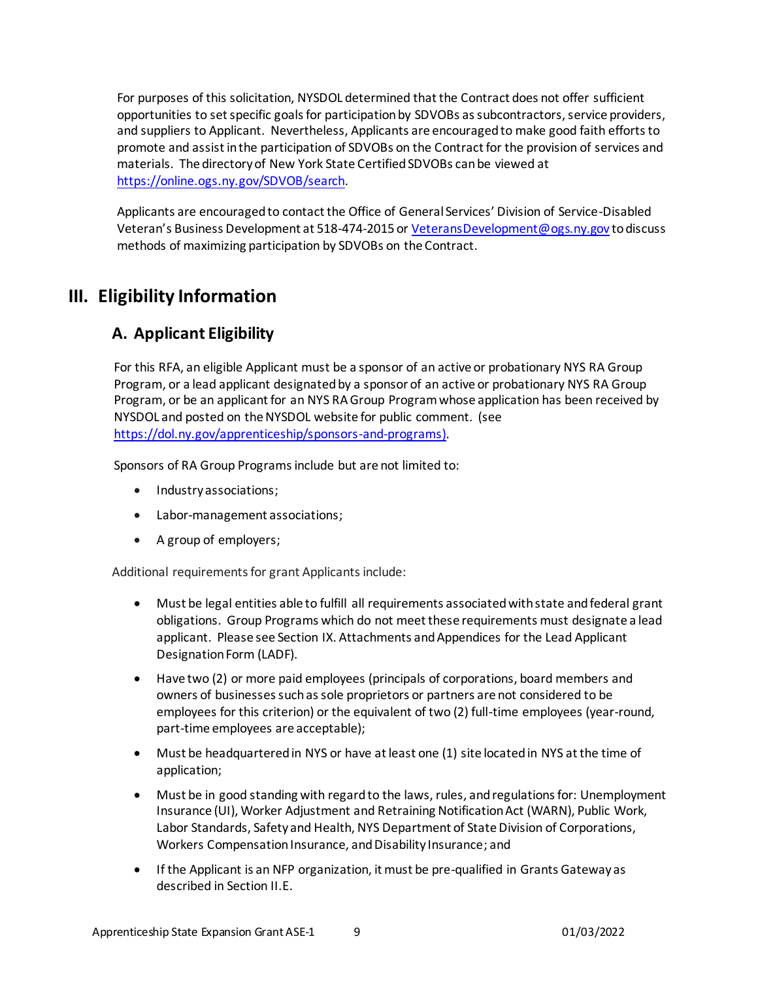For purposes of this solicitation, NYSDOL determined that the Contract does not offer sufficient opportunities to set specific goals for participation by SDVOBs as subcontractors, service providers, and suppliers to Applicant. Nevertheless, Applicants are encouraged to make good faith efforts to promote and assist in the participation of SDVOBs on the Contract for the provision of services and materials. The directory of New York State Certified SDVOBs can be viewed at [https://online.ogs.ny.gov/SDVOB/search.](https://online.ogs.ny.gov/SDVOB/search)

Applicants are encouraged to contact the Office of General Services' Division of Service-Disabled Veteran's Business Development at 518-474-2015 or [VeteransDevelopment@ogs.ny.gov](mailto:VeteransDevelopment@ogs.ny.gov) to discuss methods of maximizing participation by SDVOBs on the Contract.

# <span id="page-8-1"></span><span id="page-8-0"></span>**III. Eligibility Information**

## **A. Applicant Eligibility**

For this RFA, an eligible Applicant must be a sponsor of an active or probationary NYS RA Group Program, or a lead applicant designated by a sponsor of an active or probationary NYS RA Group Program, or be an applicant for an NYS RA Group Program whose application has been received by NYSDOL and posted on the NYSDOL website for public comment. (see <https://dol.ny.gov/apprenticeship/sponsors-and-programs>).

Sponsors of RA Group Programs include but are not limited to:

- Industry associations;
- Labor-management associations;
- A group of employers;

Additional requirements for grant Applicants include:

- Must be legal entities able to fulfill all requirements associated with state and federal grant obligations. Group Programs which do not meet these requirements must designate a lead applicant. Please se[e Section IX. Attachments and Appendices](#page-20-3) for the Lead Applicant Designation Form (LADF).
- Have two (2) or more paid employees (principals of corporations, board members and owners of businesses such as sole proprietors or partners are not considered to be employees for this criterion) or the equivalent of two (2) full-time employees (year-round, part-time employees are acceptable);
- Must be headquartered in NYS or have at least one (1) site located in NYS at the time of application;
- Must be in good standing with regard to the laws, rules, and regulations for: Unemployment Insurance (UI), Worker Adjustment and Retraining Notification Act (WARN), Public Work, Labor Standards, Safety and Health, NYS Department of State Division of Corporations, Workers Compensation Insurance, and Disability Insurance; and
- If the Applicant is an NFP organization, it must be pre-qualified in Grants Gateway as described in Section II.E.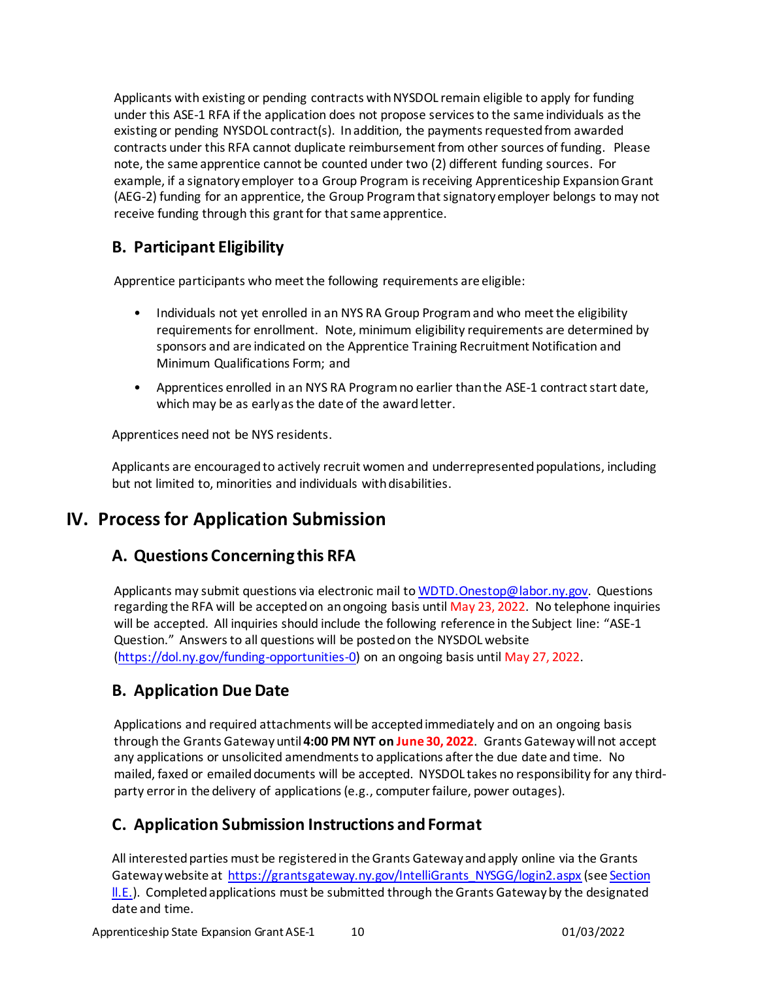Applicants with existing or pending contracts with NYSDOL remain eligible to apply for funding under this ASE-1 RFA if the application does not propose services to the same individuals as the existing or pending NYSDOL contract(s). In addition, the payments requested from awarded contracts under this RFA cannot duplicate reimbursement from other sources of funding. Please note, the same apprentice cannot be counted under two (2) different funding sources. For example, if a signatory employer to a Group Program is receiving Apprenticeship Expansion Grant (AEG-2) funding for an apprentice, the Group Program that signatory employer belongs to may not receive funding through this grant for that same apprentice.

## <span id="page-9-0"></span>**B. Participant Eligibility**

Apprentice participants who meet the following requirements are eligible:

- Individuals not yet enrolled in an NYS RA Group Program and who meet the eligibility requirements for enrollment. Note, minimum eligibility requirements are determined by sponsors and are indicated on the Apprentice Training Recruitment Notification and Minimum Qualifications Form; and
- Apprentices enrolled in an NYS RA Program no earlier than the ASE-1 contract start date, which may be as early as the date of the award letter.

Apprentices need not be NYS residents.

Applicants are encouraged to actively recruit women and underrepresented populations, including but not limited to, minorities and individuals with disabilities.

# <span id="page-9-2"></span><span id="page-9-1"></span>**IV. Process for Application Submission**

# **A. Questions Concerning this RFA**

Applicants may submit questions via electronic mail to WDTD. Onestop@labor.ny.gov. Questions regarding the RFA will be accepted on an ongoing basis until May 23, 2022. No telephone inquiries will be accepted. All inquiries should include the following reference in the Subject line: "ASE-1 Question." Answers to all questions will be posted on the NYSDOL website [\(https://dol.ny.gov/funding-opportunities-0\)](https://dol.ny.gov/funding-opportunities-0) on an ongoing basis until May 27, 2022.

# <span id="page-9-3"></span>**B. Application Due Date**

Applications and required attachments will be accepted immediately and on an ongoing basis through the Grants Gateway until **4:00 PM NYT on June 30, 2022**. Grants Gateway will not accept any applications or unsolicited amendments to applications after the due date and time. No mailed, faxed or emailed documents will be accepted. NYSDOL takes no responsibility for any thirdparty error in the delivery of applications(e.g., computer failure, power outages).

# <span id="page-9-4"></span>**C. Application Submission Instructions and Format**

All interested parties must be registered in the Grants Gateway and apply online via the Grants Gateway website at [https://grantsgateway.ny.gov/IntelliGrants\\_NYSGG/login2.aspx](https://grantsgateway.ny.gov/IntelliGrants_NYSGG/login2.aspx) (see Section II.E.). Completed applications must be submitted through the Grants Gateway by the designated date and time.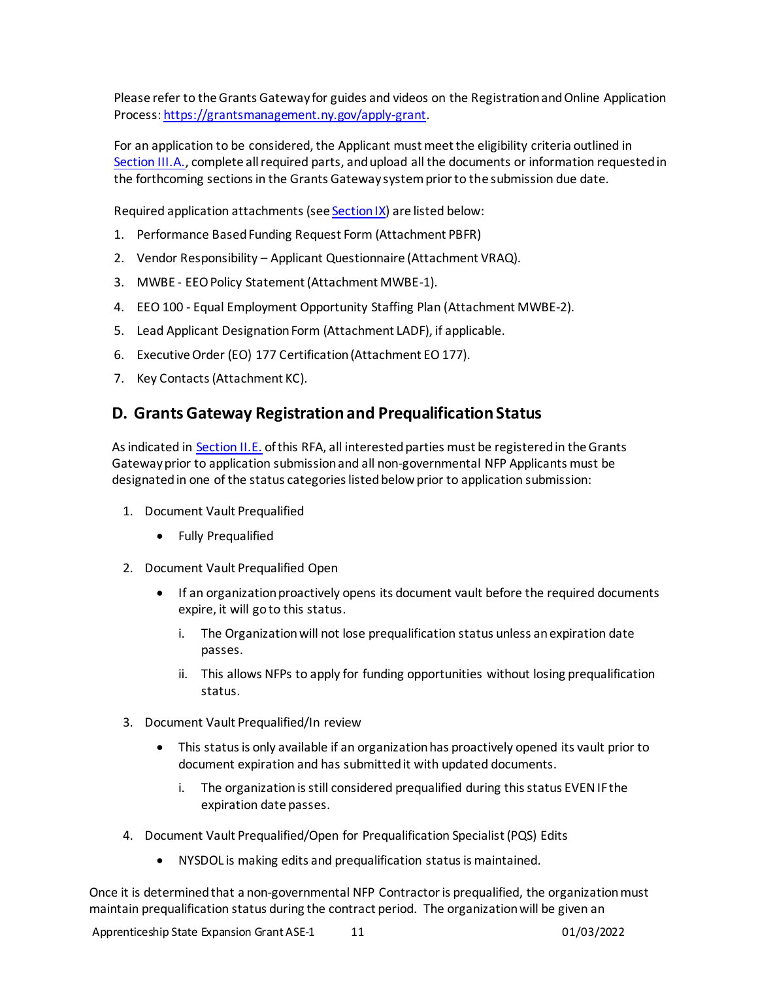Please refer to the Grants Gateway for guides and videos on the Registration and Online Application Process: <https://grantsmanagement.ny.gov/apply-grant>.

For an application to be considered, the Applicant must meet the eligibility criteria outlined in [Section III.A.,](#page-8-1) complete all required parts, and upload all the documents or information requested in the forthcoming sections in the Grants Gateway system prior to the submission due date.

Required application attachments (see **Section IX**) are listed below:

- 1. Performance Based Funding Request Form (Attachment PBFR)
- 2. Vendor Responsibility Applicant Questionnaire (Attachment VRAQ).
- 3. MWBE EEO Policy Statement (Attachment MWBE-1).
- 4. EEO 100 Equal Employment Opportunity Staffing Plan (Attachment MWBE-2).
- 5. Lead Applicant Designation Form (Attachment LADF), if applicable.
- 6. Executive Order (EO) 177 Certification (Attachment EO 177).
- 7. Key Contacts (Attachment KC).

### <span id="page-10-0"></span>**D. Grants Gateway Registration and Prequalification Status**

As indicated in [Section II.E.](#page-5-0) of this RFA, all interested parties must be registered in the Grants Gateway prior to application submission and all non-governmental NFP Applicants must be designated in one of the status categories listed below prior to application submission:

- 1. Document Vault Prequalified
	- Fully Prequalified
- 2. Document Vault Prequalified Open
	- If an organization proactively opens its document vault before the required documents expire, it will go to this status.
		- i. The Organization will not lose prequalification status unless an expiration date passes.
		- ii. This allows NFPs to apply for funding opportunities without losing prequalification status.
- 3. Document Vault Prequalified/In review
	- This status is only available if an organization has proactively opened its vault prior to document expiration and has submitted it with updated documents.
		- i. The organization is still considered prequalified during this status EVEN IF the expiration date passes.
- 4. Document Vault Prequalified/Open for Prequalification Specialist (PQS) Edits
	- NYSDOL is making edits and prequalification status is maintained.

Once it is determined that a non-governmental NFP Contractor is prequalified, the organization must maintain prequalification status during the contract period. The organization will be given an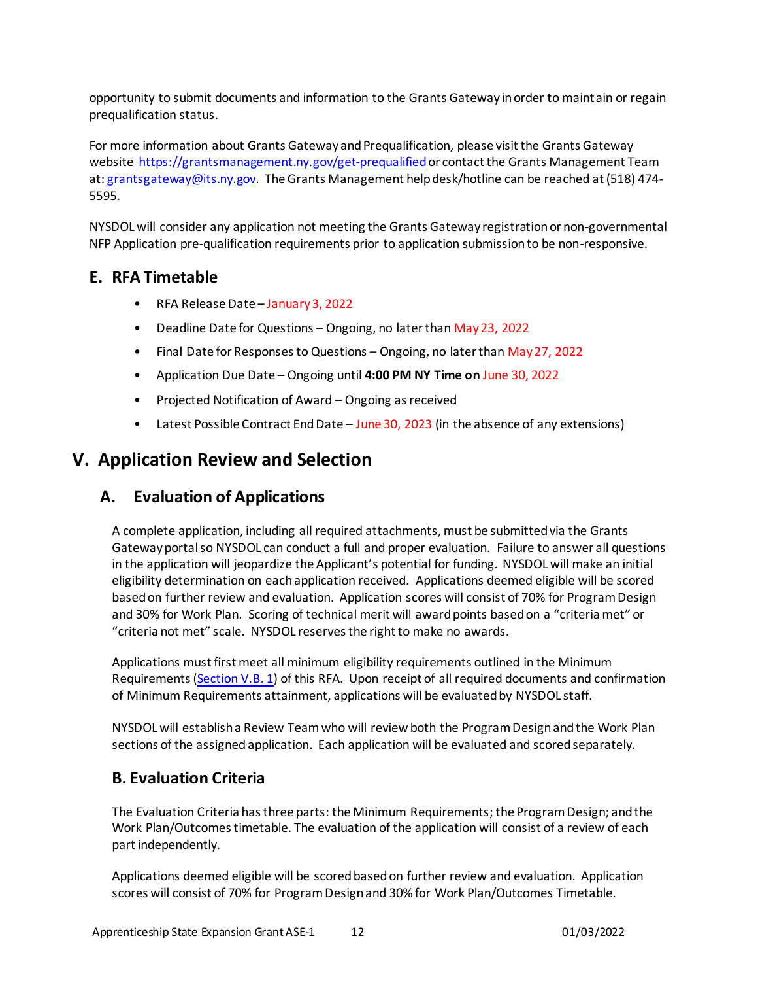opportunity to submit documents and information to the Grants Gateway in order to maintain or regain prequalification status.

For more information about Grants Gateway and Prequalification, please visit the Grants Gateway website<https://grantsmanagement.ny.gov/get-prequalified> or contact the Grants Management Team at: grantsgateway@its.ny.gov. The Grants Management help desk/hotline can be reached at (518) 474- 5595.

NYSDOL will consider any application not meeting the Grants Gateway registration or non-governmental NFP Application pre-qualification requirements prior to application submission to be non-responsive.

### <span id="page-11-0"></span>**E. RFA Timetable**

- RFA Release Date January 3, 2022
- Deadline Date for Questions Ongoing, no later than May 23, 2022
- Final Date for Responses to Questions Ongoing, no later than May 27, 2022
- Application Due Date Ongoing until **4:00 PM NY Time on** June 30, 2022
- Projected Notification of Award Ongoing as received
- Latest Possible Contract End Date June 30, 2023 (in the absence of any extensions)

## <span id="page-11-1"></span>**V. Application Review and Selection**

#### <span id="page-11-2"></span>**A. Evaluation of Applications**

A complete application, including all required attachments, must be submitted via the Grants Gateway portal so NYSDOL can conduct a full and proper evaluation. Failure to answer all questions in the application will jeopardize the Applicant's potential for funding. NYSDOL will make an initial eligibility determination on each application received. Applications deemed eligible will be scored based on further review and evaluation. Application scores will consist of 70% for Program Design and 30% for Work Plan. Scoring of technical merit will award points based on a "criteria met" or "criteria not met" scale. NYSDOL reserves the right to make no awards.

Applications must first meet all minimum eligibility requirements outlined in the Minimum Requirements [\(Section V.B. 1\)](#page-11-3) of this RFA. Upon receipt of all required documents and confirmation of Minimum Requirements attainment, applications will be evaluated by NYSDOL staff.

NYSDOL will establish a Review Teamwho will review both the Program Design and the Work Plan sections of the assigned application. Each application will be evaluated and scored separately.

### <span id="page-11-3"></span>**B. Evaluation Criteria**

The Evaluation Criteria has three parts: the Minimum Requirements; the Program Design; and the Work Plan/Outcomes timetable. The evaluation of the application will consist of a review of each part independently.

Applications deemed eligible will be scored based on further review and evaluation. Application scores will consist of 70% for Program Design and 30% for Work Plan/Outcomes Timetable.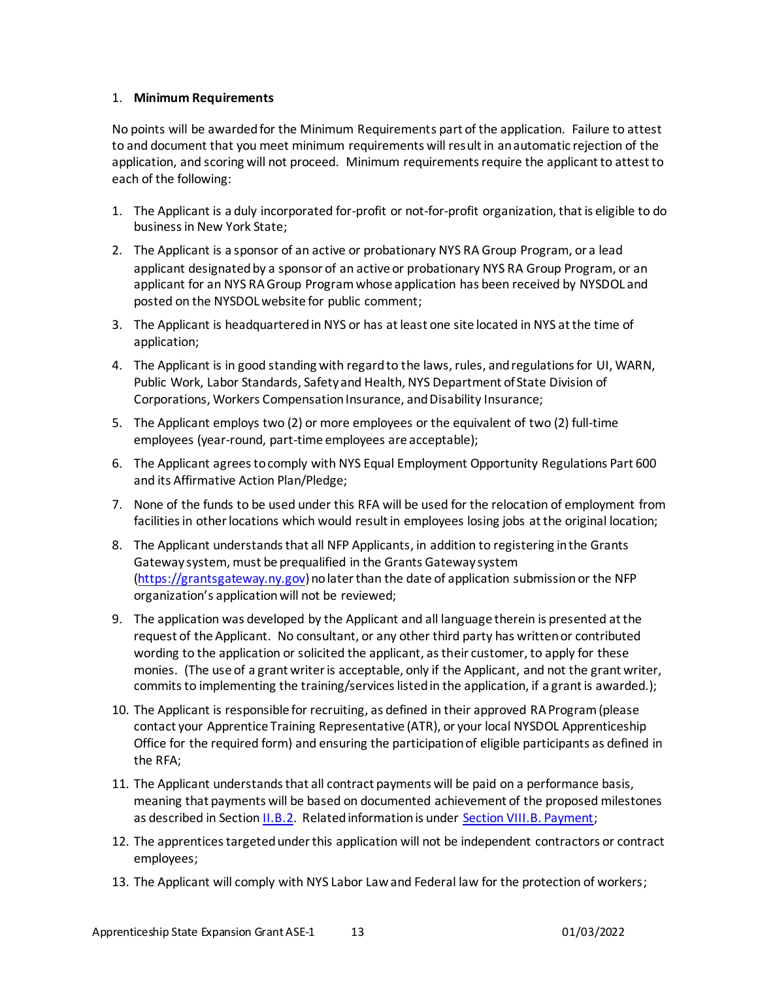#### 1. **Minimum Requirements**

No points will be awarded for the Minimum Requirements part of the application. Failure to attest to and document that you meet minimum requirements will result in an automatic rejection of the application, and scoring will not proceed. Minimum requirements require the applicant to attest to each of the following:

- 1. The Applicant is a duly incorporated for-profit or not-for-profit organization, that is eligible to do business in New York State;
- 2. The Applicant is a sponsor of an active or probationary NYS RA Group Program, or a lead applicant designated by a sponsor of an active or probationary NYS RA Group Program, or an applicant for an NYS RA Group Programwhose application has been received by NYSDOL and posted on the NYSDOL website for public comment;
- 3. The Applicant is headquartered in NYS or has at least one site located in NYS at the time of application;
- 4. The Applicant is in good standing with regard to the laws, rules, and regulations for UI, WARN, Public Work, Labor Standards, Safety and Health, NYS Department of State Division of Corporations, Workers Compensation Insurance, and Disability Insurance;
- 5. The Applicant employs two (2) or more employees or the equivalent of two (2) full-time employees (year-round, part-time employees are acceptable);
- 6. The Applicant agrees to comply with NYS Equal Employment Opportunity Regulations Part 600 and its Affirmative Action Plan/Pledge;
- 7. None of the funds to be used under this RFA will be used for the relocation of employment from facilities in other locations which would result in employees losing jobs at the original location;
- 8. The Applicant understands that all NFP Applicants, in addition to registering in the Grants Gateway system, must be prequalified in the Grants Gateway system [\(https://grantsgateway.ny.gov](https://grantsgateway.ny.gov/)) no later than the date of application submission or the NFP organization's application will not be reviewed;
- 9. The application was developed by the Applicant and all language therein is presented at the request of the Applicant. No consultant, or any other third party has written or contributed wording to the application or solicited the applicant, as their customer, to apply for these monies. (The use of a grant writer is acceptable, only if the Applicant, and not the grant writer, commits to implementing the training/services listed in the application, if a grant is awarded.);
- 10. The Applicant is responsible for recruiting, as defined in their approved RAProgram(please contact your Apprentice Training Representative (ATR), or your local NYSDOL Apprenticeship Office for the required form) and ensuring the participation of eligible participants as defined in the RFA;
- 11. The Applicant understands that all contract payments will be paid on a performance basis, meaning that payments will be based on documented achievement of the proposed milestones as described in Sectio[n II.B.2](#page-4-2). Related information is under [Section VIII.B. Payment](#page-16-2);
- 12. The apprentices targeted under this application will not be independent contractors or contract employees;
- 13. The Applicant will comply with NYS Labor Law and Federal law for the protection of workers;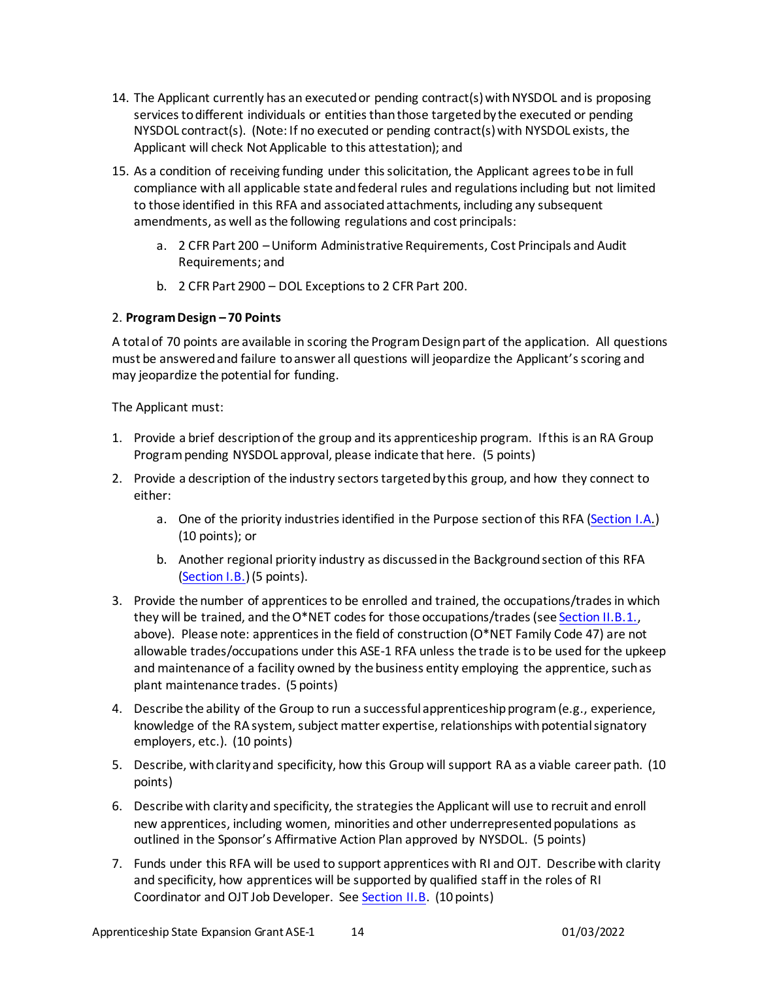- 14. The Applicant currently has an executed or pending contract(s) with NYSDOL and is proposing services to different individuals or entities than those targeted by the executed or pending NYSDOL contract(s). (Note: If no executed or pending contract(s) with NYSDOL exists, the Applicant will check Not Applicable to this attestation); and
- 15. As a condition of receiving funding under this solicitation, the Applicant agrees to be in full compliance with all applicable state and federal rules and regulations including but not limited to those identified in this RFA and associated attachments, including any subsequent amendments, as well as the following regulations and cost principals:
	- a. 2 CFR Part 200 –Uniform Administrative Requirements, Cost Principals and Audit Requirements; and
	- b. 2 CFR Part 2900 DOL Exceptions to 2 CFR Part 200.

#### 2. **Program Design – 70 Points**

A total of 70 points are available in scoring the Program Design part of the application. All questions must be answered and failure to answer all questions will jeopardize the Applicant's scoring and may jeopardize the potential for funding.

The Applicant must:

- 1. Provide a brief description of the group and its apprenticeship program. If this is an RA Group Program pending NYSDOL approval, please indicate that here. (5 points)
- 2. Provide a description of the industry sectors targeted by this group, and how they connect to either:
	- a. One of the priority industries identified in the Purpose section of this RFA [\(Section I.A.](#page-2-3)) (10 points); or
	- b. Another regional priority industry as discussed in the Background section of this RFA [\(Section I.B.\)](#page-2-4)(5 points).
- 3. Provide the number of apprentices to be enrolled and trained, the occupations/trades in which they will be trained, and the O\*NET codes for those occupations/trades (se[e Section II.B.1.](#page-4-3), above). Please note: apprentices in the field of construction (O\*NET Family Code 47) are not allowable trades/occupations under this ASE-1 RFA unless the trade is to be used for the upkeep and maintenance of a facility owned by the business entity employing the apprentice, such as plant maintenance trades. (5 points)
- 4. Describe the ability of the Group to run a successful apprenticeship program (e.g., experience, knowledge of the RA system, subject matter expertise, relationships with potential signatory employers, etc.). (10 points)
- 5. Describe, with clarity and specificity, how this Group will support RA as a viable career path. (10 points)
- 6. Describe with clarity and specificity, the strategies the Applicant will use to recruit and enroll new apprentices, including women, minorities and other underrepresented populations as outlined in the Sponsor's Affirmative Action Plan approved by NYSDOL. (5 points)
- 7. Funds under this RFA will be used to support apprentices with RI and OJT. Describe with clarity and specificity, how apprentices will be supported by qualified staff in the roles of RI Coordinator and OJT Job Developer. See [Section II.B](#page-3-3). (10 points)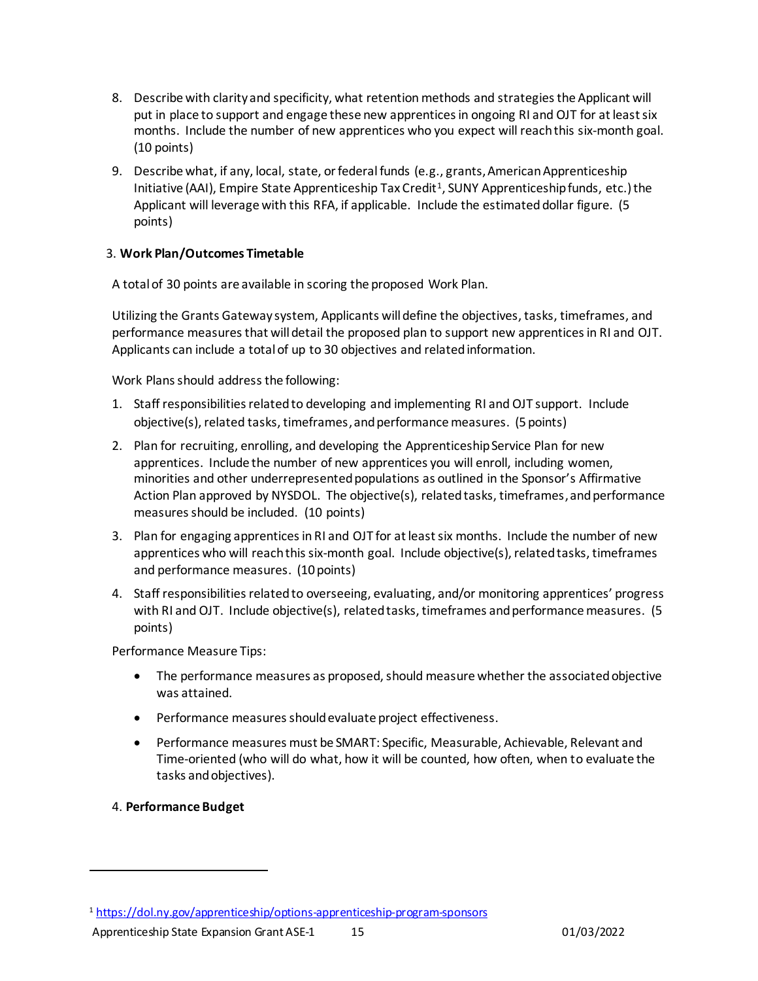- 8. Describe with clarity and specificity, what retention methods and strategies the Applicant will put in place to support and engage these new apprentices in ongoing RI and OJT for at least six months. Include the number of new apprentices who you expect will reach this six-month goal. (10 points)
- 9. Describe what, if any, local, state, or federalfunds (e.g., grants, American Apprenticeship Initiative (AAI), Empire State Apprenticeship Tax Credit<sup>1</sup>, SUNY Apprenticeship funds, etc.) the Applicant will leverage with this RFA, if applicable. Include the estimated dollar figure. (5 points)

#### 3. **Work Plan/Outcomes Timetable**

A total of 30 points are available in scoring the proposed Work Plan.

Utilizing the Grants Gateway system, Applicants will define the objectives, tasks, timeframes, and performance measures that will detail the proposed plan to support new apprentices in RI and OJT. Applicants can include a total of up to 30 objectives and related information.

Work Plans should address the following:

- 1. Staff responsibilities related to developing and implementing RI and OJT support. Include objective(s), related tasks, timeframes,and performance measures. (5 points)
- 2. Plan for recruiting, enrolling, and developing the Apprenticeship Service Plan for new apprentices. Include the number of new apprentices you will enroll, including women, minorities and other underrepresented populations as outlined in the Sponsor's Affirmative Action Plan approved by NYSDOL. The objective(s), related tasks, timeframes,and performance measures should be included. (10 points)
- 3. Plan for engaging apprentices in RI and OJT for at least six months. Include the number of new apprentices who will reach this six-month goal. Include objective(s), related tasks, timeframes and performance measures. (10 points)
- 4. Staff responsibilities related to overseeing, evaluating, and/or monitoring apprentices' progress with RI and OJT. Include objective(s), related tasks, timeframes and performance measures. (5 points)

Performance Measure Tips:

- The performance measures as proposed, should measure whether the associated objective was attained.
- Performance measures should evaluate project effectiveness.
- Performance measures must be SMART: Specific, Measurable, Achievable, Relevant and Time-oriented (who will do what, how it will be counted, how often, when to evaluate the tasks and objectives).
- 4. **Performance Budget**

<sup>1</sup> <https://dol.ny.gov/apprenticeship/options-apprenticeship-program-sponsors>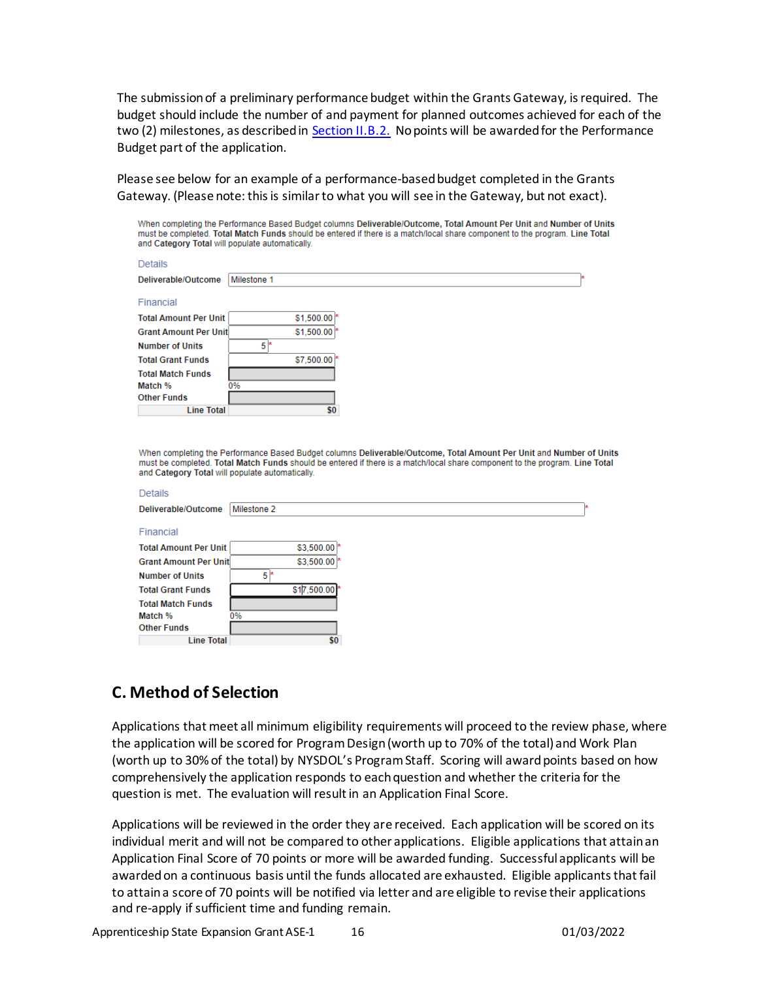The submission of a preliminary performance budget within the Grants Gateway, is required. The budget should include the number of and payment for planned outcomes achieved for each of the two (2) milestones, as described in [Section II.B.2](#page-4-2). No points will be awarded for the Performance Budget part of the application.

<span id="page-15-0"></span>Please see below for an example of a performance-based budget completed in the Grants Gateway. (Please note: this is similar to what you will see in the Gateway, but not exact).

When completing the Performance Based Budget columns Deliverable/Outcome, Total Amount Per Unit and Number of Units must be completed. Total Match Funds should be entered if there is a match/local share component to the program. Line Total and Category Total will populate automatically.

| Details                      |             |                          |
|------------------------------|-------------|--------------------------|
| Deliverable/Outcome          | Milestone 1 |                          |
| Financial                    |             |                          |
| <b>Total Amount Per Unit</b> |             | $$1,500.00$ <sup>*</sup> |
| <b>Grant Amount Per Unit</b> |             | $$1,500.00$ <sup>*</sup> |
| <b>Number of Units</b>       | 5<br>床      |                          |
| <b>Total Grant Funds</b>     |             | \$7,500.00               |
| <b>Total Match Funds</b>     |             |                          |
| Match %                      | 0%          |                          |
| <b>Other Funds</b>           |             |                          |
| <b>Line Total</b>            |             | \$0                      |

When completing the Performance Based Budget columns Deliverable/Outcome, Total Amount Per Unit and Number of Units must be completed. Total Match Funds should be entered if there is a match/local share component to the program. Line Total and Category Total will populate automatically.

| Details                      |                |
|------------------------------|----------------|
| Deliverable/Outcome          | Milestone 2    |
| Financial                    |                |
| <b>Total Amount Per Unit</b> | \$3,500.00     |
| <b>Grant Amount Per Unit</b> | \$3,500.00     |
| <b>Number of Units</b>       | 5<br><b>EX</b> |
| <b>Total Grant Funds</b>     | \$17,500.00    |
| <b>Total Match Funds</b>     |                |
| Match %                      | 0%             |
| <b>Other Funds</b>           |                |
| <b>Line Total</b>            | \$0            |

### **C. Method of Selection**

Applications that meet all minimum eligibility requirements will proceed to the review phase, where the application will be scored for Program Design (worth up to 70% of the total) and Work Plan (worth up to 30% of the total) by NYSDOL's Program Staff. Scoring will award points based on how comprehensively the application responds to each question and whether the criteria for the question is met. The evaluation will result in an Application Final Score.

Applications will be reviewed in the order they are received. Each application will be scored on its individual merit and will not be compared to other applications. Eligible applications that attain an Application Final Score of 70 points or more will be awarded funding. Successful applicants will be awarded on a continuous basis until the funds allocated are exhausted. Eligible applicants that fail to attain a score of 70 points will be notified via letter and are eligible to revise their applications and re-apply if sufficient time and funding remain.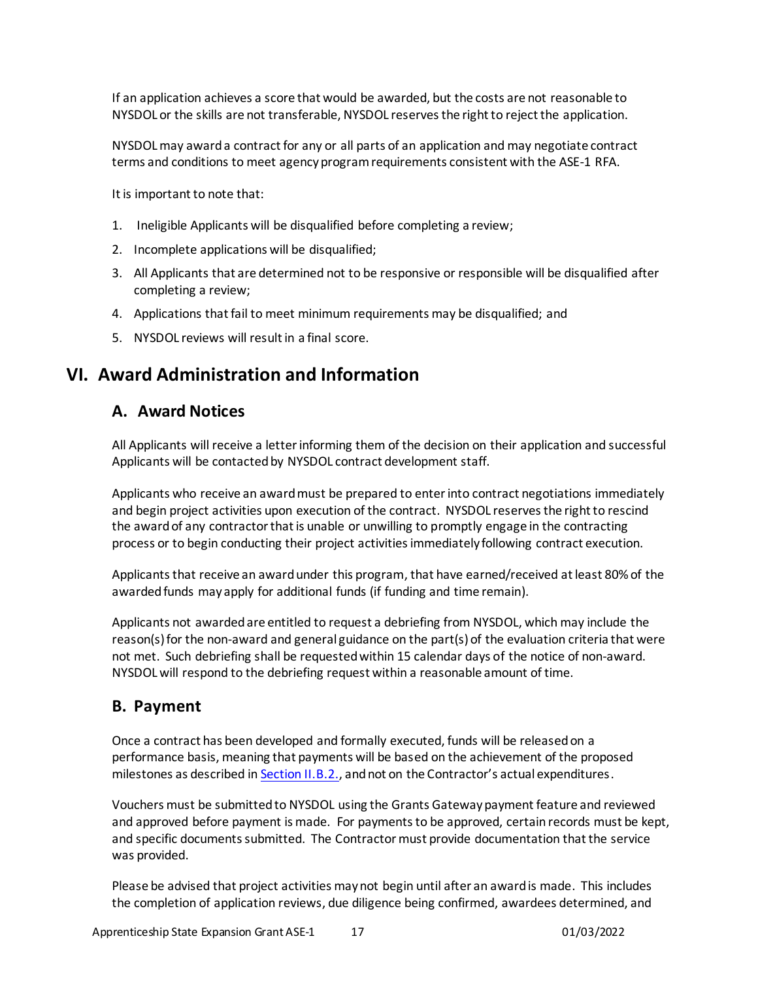If an application achieves a score that would be awarded, but the costs are not reasonable to NYSDOL or the skills are not transferable, NYSDOL reserves the right to reject the application.

NYSDOL may award a contract for any or all parts of an application and may negotiate contract terms and conditions to meet agency program requirements consistent with the ASE-1 RFA.

It is important to note that:

- 1. Ineligible Applicants will be disqualified before completing a review;
- 2. Incomplete applications will be disqualified;
- 3. All Applicants that are determined not to be responsive or responsible will be disqualified after completing a review;
- 4. Applications that fail to meet minimum requirements may be disqualified; and
- 5. NYSDOL reviews will result in a final score.

# <span id="page-16-0"></span>**VI. Award Administration and Information**

### <span id="page-16-1"></span>**A. Award Notices**

All Applicants will receive a letter informing them of the decision on their application and successful Applicants will be contacted by NYSDOL contract development staff.

Applicants who receive an award must be prepared to enter into contract negotiations immediately and begin project activities upon execution of the contract. NYSDOL reserves the right to rescind the award of any contractor that is unable or unwilling to promptly engage in the contracting process or to begin conducting their project activities immediately following contract execution.

Applicants that receive an award under this program, that have earned/received at least 80% of the awarded funds may apply for additional funds (if funding and time remain).

Applicants not awarded are entitled to request a debriefing from NYSDOL, which may include the reason(s) for the non-award and general guidance on the part(s) of the evaluation criteria that were not met. Such debriefing shall be requested within 15 calendar days of the notice of non-award. NYSDOL will respond to the debriefing request within a reasonable amount of time.

### <span id="page-16-2"></span>**B. Payment**

Once a contract has been developed and formally executed, funds will be released on a performance basis, meaning that payments will be based on the achievement of the proposed milestones as described i[n Section II.B.2](#page-4-2)., and not on the Contractor's actual expenditures.

Vouchers must be submitted to NYSDOL using the Grants Gateway payment feature and reviewed and approved before payment is made. For payments to be approved, certain records must be kept, and specific documents submitted. The Contractor must provide documentation that the service was provided.

Please be advised that project activities may not begin until after an award is made. This includes the completion of application reviews, due diligence being confirmed, awardees determined, and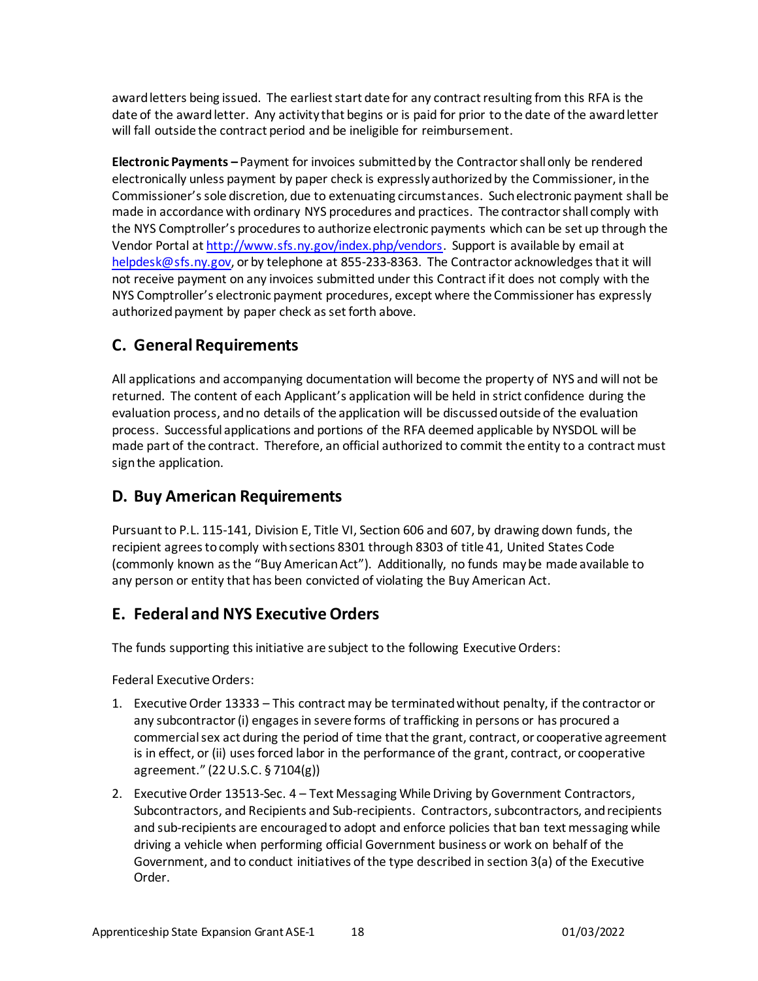award letters being issued. The earliest start date for any contract resulting from this RFA is the date of the award letter. Any activity that begins or is paid for prior to the date of the award letter will fall outside the contract period and be ineligible for reimbursement.

**Electronic Payments –** Payment for invoices submitted by the Contractor shall only be rendered electronically unless payment by paper check is expressly authorized by the Commissioner, in the Commissioner's sole discretion, due to extenuating circumstances. Such electronic payment shall be made in accordance with ordinary NYS procedures and practices. The contractor shall comply with the NYS Comptroller's procedures to authorize electronic payments which can be set up through the Vendor Portal a[t http://www.sfs.ny.gov/index.php/vendors](http://www.sfs.ny.gov/index.php/vendors). Support is available by email at [helpdesk@sfs.ny.gov](mailto:helpdesk@sfs.ny.gov), or by telephone at 855-233-8363. The Contractor acknowledges that it will not receive payment on any invoices submitted under this Contract if it does not comply with the NYS Comptroller's electronic payment procedures, except where the Commissioner has expressly authorized payment by paper check as set forth above.

# <span id="page-17-0"></span>**C. General Requirements**

All applications and accompanying documentation will become the property of NYS and will not be returned. The content of each Applicant's application will be held in strict confidence during the evaluation process, and no details of the application will be discussed outside of the evaluation process. Successful applications and portions of the RFA deemed applicable by NYSDOL will be made part of the contract. Therefore, an official authorized to commit the entity to a contract must sign the application.

### <span id="page-17-1"></span>**D. Buy American Requirements**

Pursuant to P.L. 115-141, Division E, Title VI, Section 606 and 607, by drawing down funds, the recipient agrees to comply with sections 8301 through 8303 of title 41, United States Code (commonly known as the "Buy American Act"). Additionally, no funds may be made available to any person or entity that has been convicted of violating the Buy American Act.

### <span id="page-17-2"></span>**E. Federal and NYS Executive Orders**

The funds supporting this initiative are subject to the following ExecutiveOrders:

Federal Executive Orders:

- 1. Executive Order 13333 This contract may be terminated without penalty, if the contractor or any subcontractor (i) engages in severe forms of trafficking in persons or has procured a commercial sex act during the period of time that the grant, contract, or cooperative agreement is in effect, or (ii) uses forced labor in the performance of the grant, contract, or cooperative agreement." (22 U.S.C. § 7104(g))
- 2. Executive Order 13513-Sec. 4 Text Messaging While Driving by Government Contractors, Subcontractors, and Recipients and Sub-recipients. Contractors, subcontractors, and recipients and sub-recipients are encouraged to adopt and enforce policies that ban text messaging while driving a vehicle when performing official Government business or work on behalf of the Government, and to conduct initiatives of the type described in section 3(a) of the Executive Order.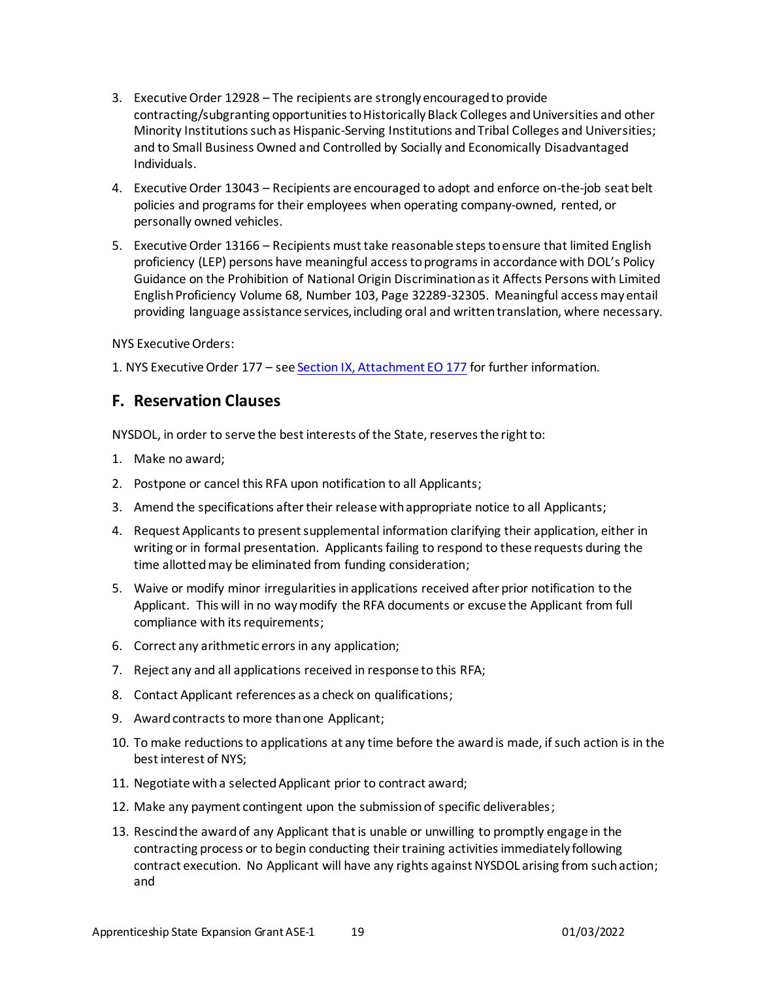- 3. Executive Order 12928 The recipients are strongly encouraged to provide contracting/subgranting opportunities to Historically Black Colleges and Universities and other Minority Institutions such as Hispanic-Serving Institutions and Tribal Colleges and Universities; and to Small Business Owned and Controlled by Socially and Economically Disadvantaged Individuals.
- 4. Executive Order 13043 Recipients are encouraged to adopt and enforce on-the-job seat belt policies and programs for their employees when operating company-owned, rented, or personally owned vehicles.
- 5. Executive Order 13166 Recipients must take reasonable steps to ensure that limited English proficiency (LEP) persons have meaningful access to programs in accordance with DOL's Policy Guidance on the Prohibition of National Origin Discrimination as it Affects Persons with Limited English Proficiency Volume 68, Number 103, Page 32289-32305. Meaningful access may entail providing language assistance services, including oral and written translation, where necessary.

NYS Executive Orders:

<span id="page-18-0"></span>1. NYS Executive Order 177 – se[e Section IX, Attachment EO](#page-20-4) 177 for further information.

### **F. Reservation Clauses**

NYSDOL, in order to serve the best interests of the State, reserves the right to:

- 1. Make no award;
- 2. Postpone or cancel this RFA upon notification to all Applicants;
- 3. Amend the specifications after their release with appropriate notice to all Applicants;
- 4. Request Applicants to present supplemental information clarifying their application, either in writing or in formal presentation. Applicants failing to respond to these requests during the time allotted may be eliminated from funding consideration;
- 5. Waive or modify minor irregularities in applications received after prior notification to the Applicant. This will in no way modify the RFA documents or excuse the Applicant from full compliance with its requirements;
- 6. Correct any arithmetic errors in any application;
- 7. Reject any and all applications received in response to this RFA;
- 8. Contact Applicant references as a check on qualifications;
- 9. Award contracts to more than one Applicant;
- 10. To make reductions to applications at any time before the award is made, if such action is in the best interest of NYS;
- 11. Negotiate with a selected Applicant prior to contract award;
- 12. Make any payment contingent upon the submission of specific deliverables;
- 13. Rescind the award of any Applicant that is unable or unwilling to promptly engage in the contracting process or to begin conducting their training activities immediately following contract execution. No Applicant will have any rights against NYSDOL arising from such action; and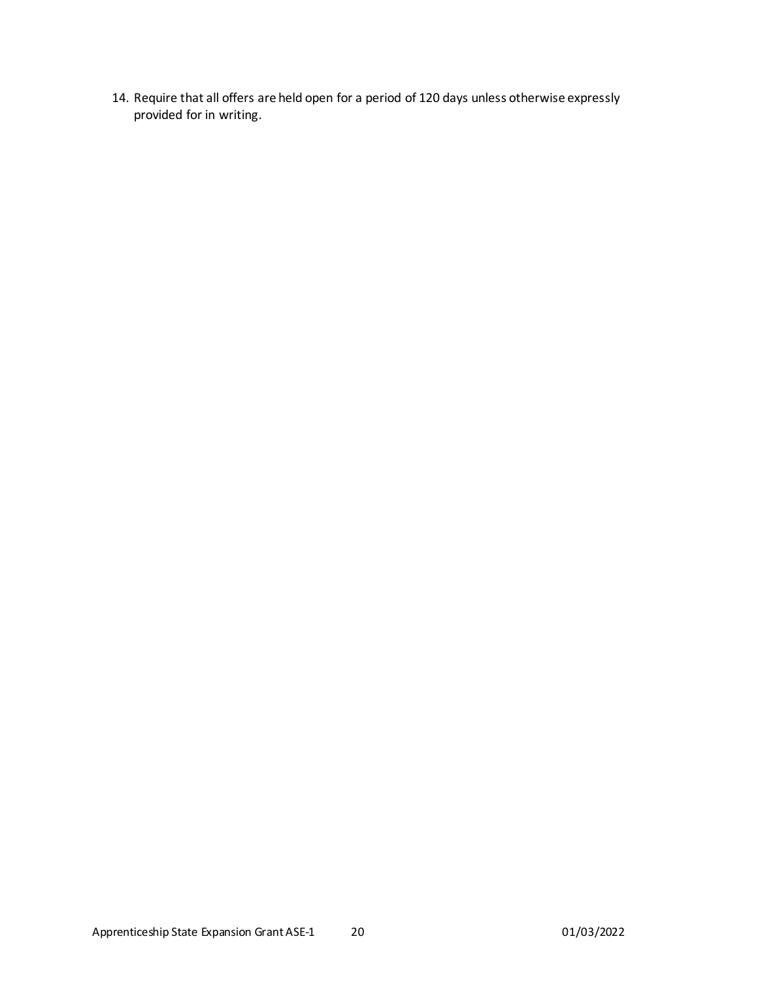14. Require that all offers are held open for a period of 120 days unless otherwise expressly provided for in writing.